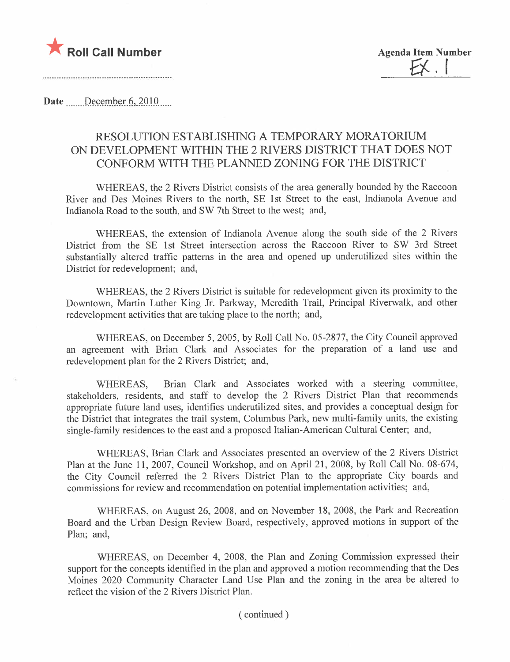

Date December 6, 2010

### RESOLUTION ESTABLISHING A TEMPORARY MORATORIUM ON DEVELOPMENT WITHIN THE 2 RIVERS DISTRICT THAT DOES NOT CONFORM WITH THE PLANNED ZONING FOR THE DISTRICT

WHEREAS, the 2 Rivers District consists of the area generally bounded by the Raccoon River and Des Moines Rivers to the north, SE 1 st Street to the east, Indianola Avenue and Indianola Road to the south, and SW 7th Street to the west; and,

WHEREAS, the extension of Indianola Avenue along the south side of the 2 Rivers District from the SE 1st Street intersection across the Raccoon River to SW 3rd Street substantially altered traffic patterns in the area and opened up underutilized sites within the District for redevelopment; and,

WHEREAS, the 2 Rivers District is suitable for redevelopment given its proximity to the Downtown, Martin Luther King Jr. Parkway, Meredith Trail, Principal Riverwalk, and other redevelopment activities that are taking place to the north; and,

WHEREAS, on December 5, 2005, by Roll Call No. 05-2877, the City Council approved an agreement with Brian Clark and Associates for the preparation of a land use and redevelopment plan for the 2 Rivers District; and,

WHEREAS, Brian Clark and Associates worked with a steering committee, stakeholders, residents, and staff to develop the 2 Rivers District Plan that recommends appropriate future land uses, identifies underutilized sites, and provides a conceptual design for the District that integrates the trail system, Columbus Park, new multi-family units, the existing single-family residences to the east and a proposed Italian-American Cultural Center; and,

WHEREAS, Brian Clark and Associates presented an overview of the 2 Rivers District Plan at the June 11, 2007, Council Workshop, and on April 21, 2008, by Roll Call No. 08-674, the City Council referred the 2 Rivers District Plan to the appropriate City boards and commissions for review and recommendation on potential implementation activities; and,

WHEREAS, on August 26, 2008, and on November 18, 2008, the Park and Recreation Board and the Urban Design Review Board, respectively, approved motions in support of the Plan; and,

WHEREAS, on December 4, 2008, the Plan and Zoning Commission expressed their support for the concepts identified in the plan and approved a motion recommending that the Des Moines 2020 Community Character Land Use Plan and the zoning in the area be altered to reflect the vision of the 2 Rivers District Plan.

( continued)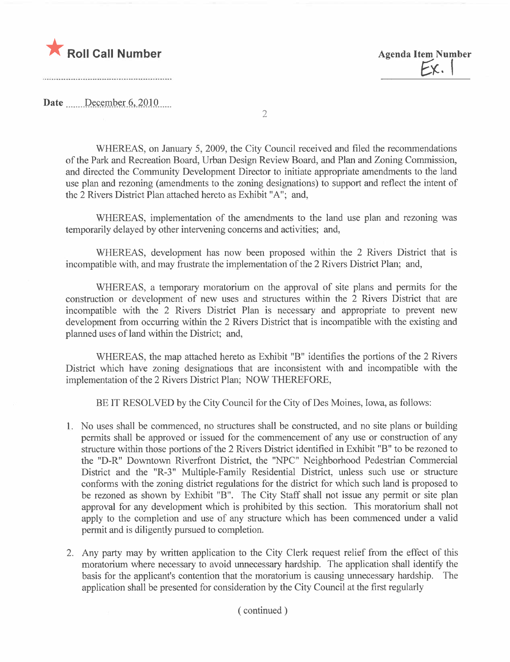



Date December 6, 2010

2

WHEREAS, on January 5, 2009, the City Council received and filed the recommendations of the Park and Recreation Board, Urban Design Review Board, and Plan and Zoning Commission, and directed the Community Development Director to initiate appropriate amendments to the land use plan and rezoning (amendments to the zoning designations) to support and reflect the intent of the 2 Rivers District Plan attached hereto as Exhibit "A"; and,

WHEREAS, implementation of the amendments to the land use plan and rezoning was temporarily delayed by other intervening concerns and activities; and,

WHEREAS, development has now been proposed within the 2 Rivers District that is incompatible with, and may frustrate the implementation of the 2 Rivers District Plan; and,

WHEREAS, a temporary moratorium on the approval of site plans and permits for the construction or development of new uses and structures within the 2 Rivers District that are incompatible with the 2 Rivers District Plan is necessary and appropriate to prevent new development from occurring within the 2 Rivers District that is incompatible with the existing and planned uses of land within the District; and,

WHEREAS, the map attached hereto as Exhibit "B" identifies the portions of the 2 Rivers District which have zoning designations that are inconsistent with and incompatible with the implementation of the 2 Rivers District Plan; NOW THEREFORE,

BE IT RESOLVED by the City Council for the City of Des Moines, Iowa, as follows:

- 1. No uses shall be commenced, no structures shall be constructed, and no site plans or building permits shall be approved or issued for the commencement of any use or construction of any structure within those portions of the 2 Rivers District identified in Exhibit "B" to be rezoned to the "D-R" Downtown Riverfront District, the "NPC" Neighborhood Pedestrian Commercial District and the "R-3" Multiple-Family Residential District, unless such use or structure conforms with the zoning district regulations for the district for which such land is proposed to be rezoned as shown by Exhibit "B". The City Staff shall not issue any permit or site plan approval for any development which is prohibited by this section. This moratorium shall not apply to the completion and use of any structure which has been commenced under a valid permit and is diligently pursued to completion.
- 2. Any party may by written application to the City Clerk request relief from the effect of this moratorium where necessary to avoid unnecessary hardship. The application shall identify the basis for the applicant's contention that the moratorium is causing unnecessary hardship. The application shall be presented for consideration by the City Council at the first regularly

( continued)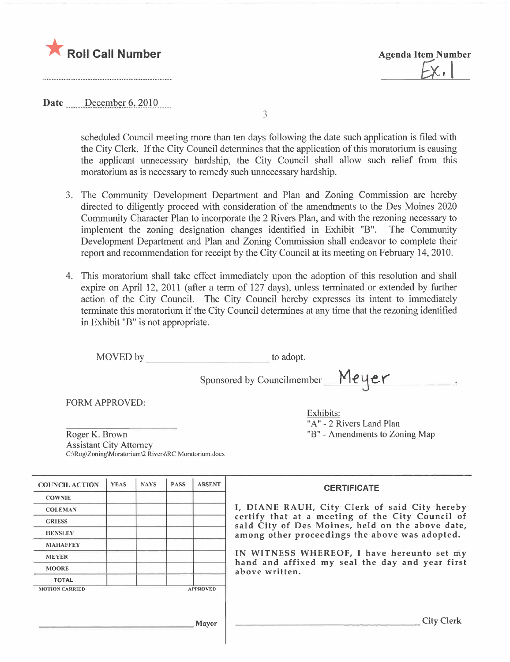



Date December 6, 2010

3

scheduled Council meeting more than ten days following the date such application is fied with the City Clerk. If the City Council determines that the application of this moratorium is causing the applicant unnecessary hardship, the City Council shall allow such relief from this moratorium as is necessary to remedy such unnecessary hardship.

- 3. The Community Development Department and Plan and Zoning Commission are hereby directed to diligently proceed with consideration of the amendments to the Des Moines 2020 Community Character Plan to incorporate the 2 Rivers Plan, and with the rezoning necessary to implement the zoning designation changes identified in Exhibit "B". The Community Development Department and Plan and Zoning Commission shall endeavor to complete their report and recommendation for receipt by the City Council at its meeting on February 14, 2010.
- 4. This moratorium shall take effect immediately upon the adoption of this resolution and shall expire on April 12, 2011 (after a term of 127 days), unless terminated or extended by further action of the City CounciL. The City Council hereby expresses its intent to immediately terminate this moratorium if the City Council determines at any time that the rezoning identified in Exhibit "B" is not appropriate.

| MOVED by                                                                                                 |             |             |             | to adopt.     |                                               |  |
|----------------------------------------------------------------------------------------------------------|-------------|-------------|-------------|---------------|-----------------------------------------------|--|
|                                                                                                          |             |             |             |               | Sponsored by Councilmember Meyer              |  |
| <b>FORM APPROVED:</b>                                                                                    |             |             |             |               | Exhibits:<br>"A" - 2 Rivers Land Plan         |  |
| Roger K. Brown<br><b>Assistant City Attorney</b><br>C:\Rog\Zoning\Moratorium\2 Rivers\RC Moratorium.docx |             |             |             |               | "B" - Amendments to Zoning Map"               |  |
| <b>COUNCIL ACTION</b>                                                                                    | <b>YEAS</b> | <b>NAYS</b> | <b>PASS</b> | <b>ABSENT</b> | <b>CERTIFICATE</b>                            |  |
| <b>COWNIE</b>                                                                                            |             |             |             |               |                                               |  |
| <b>COLEMAN</b>                                                                                           |             |             |             |               | I, DIANE RAUH, City Clerk of said City hereby |  |

GRIESS certify that at a meeting of the City Council of said City of Des Moines, held on the above date, HENSLEY **All CONFERENCE ASSESSMENT And ALL CONFERENCE ASSESSMENT AND AMONG STATES AND AMONG STATES.** And a series and opted.

MEYER **IN WITNESS WHEREOF**, I have hereunto set my hand and affixed my seal the day and year first above written.

MOTION CARRIED APPROVED

MAHAFFEY

TOTAL

**MOORE** 

Mayor City Clerk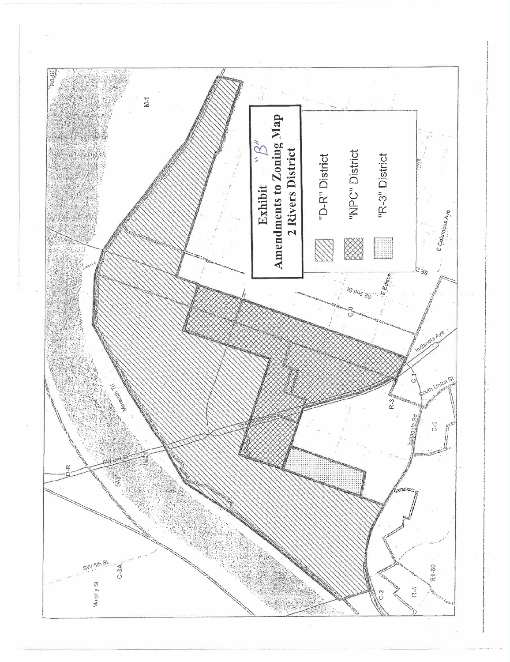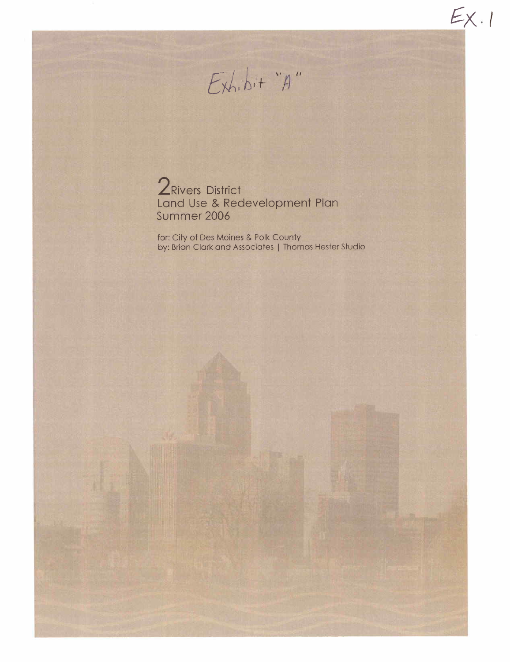

 $E_{X+1}$ 

2 Rivers District Land Use & Redevelopment Plan Summer 2006

for: City of Des Moines & Polk County by: Brian Clark and Associates | Thomas Hester Studio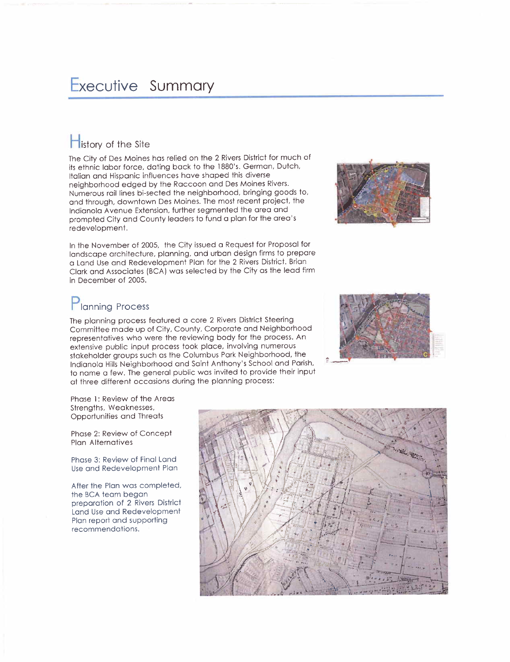## Executive Summary

## $\blacksquare$  istory of the Site

The City of Des Moines has relied on the 2 Rivers District for much of its ethnic labor force, dating back to the 1880's. German, Dutch, Italian and Hispanic influences have shaped this diverse neighborhood edged by the Raccoon and Des Moines Rivers. Numerous rail lines bi-sected the neighborhood, bringing goods to, and through, downtown Des Moines. The most recent project, the Indianola A venue Extension, further segmented the area and prompted City and County leaders to fund a plan for the area's redevelopment.



In the November of 2005, the City issued a Request for Proposal for landscape architecture, planning, and urban design firms to prepare a Land Use and Redevelopment Plan for the 2 Rivers District. Brian Clark and Associates (BCA) was selected by the City as the lead firm in December of 2005.

# Planning Process

The planning process featured a core 2 Rivers District Steering Committee made up of City, County, Corporate and Neighborhood representatives who were the reviewing body for the process. An extensive public input process took place, involving numerous stakeholder groups such as the Columbus Park Neighborhood, the Indianola Hills Neighborhood and Saint Anthony's School and Parish, to name a few. The general public was invited to provide their input at three different occasions during the planning process:



Phase 1: Review of the Areas Strengths, Weaknesses, Opportunities and Threats

Phase 2: Review of Concept Plan Alternatives

Phase 3: Review of Final Land Use and Redevelopment Plan

After the Plan was completed, the BCA team began preparation of 2 Rivers District Land Use and Redevelopment Plan report and supporting recommendations.